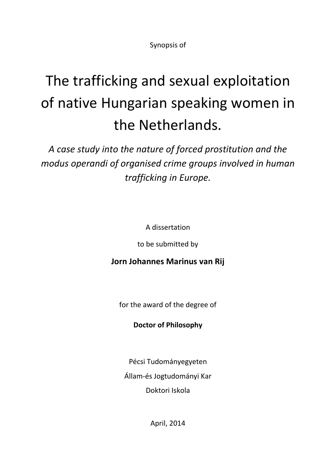Synopsis of

# The trafficking and sexual exploitation of native Hungarian speaking women in the Netherlands.

*A case study into the nature of forced prostitution and the modus operandi of organised crime groups involved in human trafficking in Europe.*

A dissertation

to be submitted by

# **Jorn Johannes Marinus van Rij**

for the award of the degree of

# **Doctor of Philosophy**

Pécsi Tudományegyeten Állam-és Jogtudományi Kar Doktori Iskola

April, 2014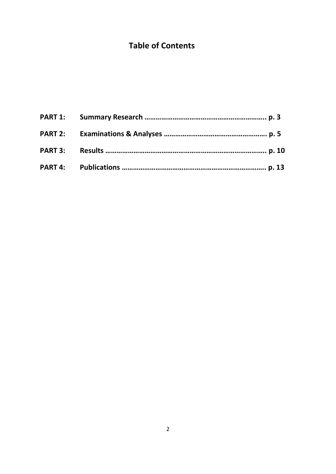# **Table of Contents**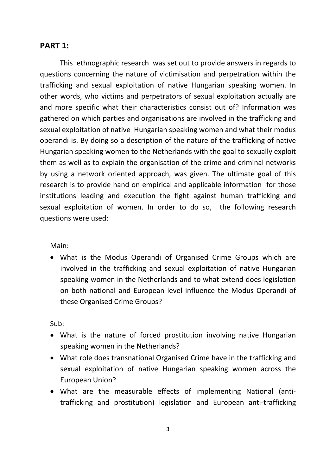## **PART 1:**

This ethnographic research was set out to provide answers in regards to questions concerning the nature of victimisation and perpetration within the trafficking and sexual exploitation of native Hungarian speaking women. In other words, who victims and perpetrators of sexual exploitation actually are and more specific what their characteristics consist out of? Information was gathered on which parties and organisations are involved in the trafficking and sexual exploitation of native Hungarian speaking women and what their modus operandi is. By doing so a description of the nature of the trafficking of native Hungarian speaking women to the Netherlands with the goal to sexually exploit them as well as to explain the organisation of the crime and criminal networks by using a network oriented approach, was given. The ultimate goal of this research is to provide hand on empirical and applicable information for those institutions leading and execution the fight against human trafficking and sexual exploitation of women. In order to do so, the following research questions were used:

Main:

• What is the Modus Operandi of Organised Crime Groups which are involved in the trafficking and sexual exploitation of native Hungarian speaking women in the Netherlands and to what extend does legislation on both national and European level influence the Modus Operandi of these Organised Crime Groups?

Sub:

- What is the nature of forced prostitution involving native Hungarian speaking women in the Netherlands?
- What role does transnational Organised Crime have in the trafficking and sexual exploitation of native Hungarian speaking women across the European Union?
- What are the measurable effects of implementing National (antitrafficking and prostitution) legislation and European anti-trafficking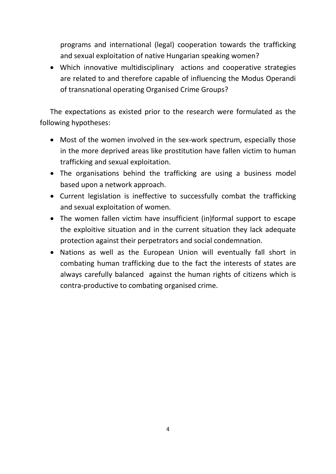programs and international (legal) cooperation towards the trafficking and sexual exploitation of native Hungarian speaking women?

• Which innovative multidisciplinary actions and cooperative strategies are related to and therefore capable of influencing the Modus Operandi of transnational operating Organised Crime Groups?

The expectations as existed prior to the research were formulated as the following hypotheses:

- Most of the women involved in the sex-work spectrum, especially those in the more deprived areas like prostitution have fallen victim to human trafficking and sexual exploitation.
- The organisations behind the trafficking are using a business model based upon a network approach.
- Current legislation is ineffective to successfully combat the trafficking and sexual exploitation of women.
- The women fallen victim have insufficient (in)formal support to escape the exploitive situation and in the current situation they lack adequate protection against their perpetrators and social condemnation.
- Nations as well as the European Union will eventually fall short in combating human trafficking due to the fact the interests of states are always carefully balanced against the human rights of citizens which is contra-productive to combating organised crime.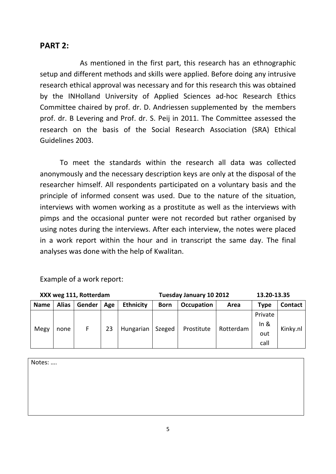# **PART 2:**

As mentioned in the first part, this research has an ethnographic setup and different methods and skills were applied. Before doing any intrusive research ethical approval was necessary and for this research this was obtained by the INHolland University of Applied Sciences ad-hoc Research Ethics Committee chaired by prof. dr. D. Andriessen supplemented by the members prof. dr. B Levering and Prof. dr. S. Peij in 2011. The Committee assessed the research on the basis of the Social Research Association (SRA) Ethical Guidelines 2003.

To meet the standards within the research all data was collected anonymously and the necessary description keys are only at the disposal of the researcher himself. All respondents participated on a voluntary basis and the principle of informed consent was used. Due to the nature of the situation, interviews with women working as a prostitute as well as the interviews with pimps and the occasional punter were not recorded but rather organised by using notes during the interviews. After each interview, the notes were placed in a work report within the hour and in transcript the same day. The final analyses was done with the help of Kwalitan.

| XXX weg 111, Rotterdam |              |        |                       |                  | 13.20-13.35<br>Tuesday January 10 2012 |            |           |         |                |
|------------------------|--------------|--------|-----------------------|------------------|----------------------------------------|------------|-----------|---------|----------------|
| <b>Name</b>            | <b>Alias</b> | Gender | Age                   | <b>Ethnicity</b> | <b>Born</b>                            | Occupation | Area      | Type    | <b>Contact</b> |
| Megy<br>none           |              |        |                       |                  | Szeged                                 | Prostitute | Rotterdam | Private | Kinky.nl       |
|                        |              |        | F.<br>23<br>Hungarian |                  |                                        |            |           | In $8$  |                |
|                        |              |        |                       |                  |                                        |            |           | out     |                |
|                        |              |        |                       |                  |                                        |            |           | call    |                |

Example of a work report:

Notes: ….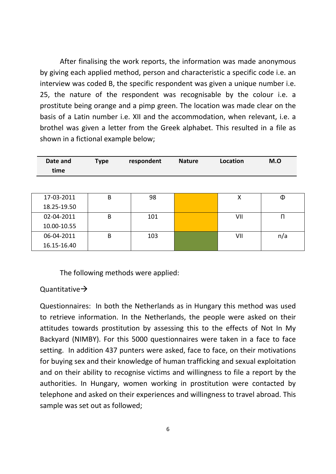After finalising the work reports, the information was made anonymous by giving each applied method, person and characteristic a specific code i.e. an interview was coded B, the specific respondent was given a unique number i.e. 25, the nature of the respondent was recognisable by the colour i.e. a prostitute being orange and a pimp green. The location was made clear on the basis of a Latin number i.e. XII and the accommodation, when relevant, i.e. a brothel was given a letter from the Greek alphabet. This resulted in a file as shown in a fictional example below;

| Date and<br>time | <b>Type</b> | respondent | <b>Nature</b> | Location | M.O |
|------------------|-------------|------------|---------------|----------|-----|
|                  |             |            |               |          |     |
| 17-03-2011       | B           | 98         |               | X        | Φ   |
| 18.25-19.50      |             |            |               |          |     |
| 02-04-2011       | B           | 101        |               | VII      | п   |
| 10.00-10.55      |             |            |               |          |     |
| 06-04-2011       | B           | 103        |               | VII      | n/a |
| 16.15-16.40      |             |            |               |          |     |

The following methods were applied:

#### Quantitative $\rightarrow$

Questionnaires: In both the Netherlands as in Hungary this method was used to retrieve information. In the Netherlands, the people were asked on their attitudes towards prostitution by assessing this to the effects of Not In My Backyard (NIMBY). For this 5000 questionnaires were taken in a face to face setting. In addition 437 punters were asked, face to face, on their motivations for buying sex and their knowledge of human trafficking and sexual exploitation and on their ability to recognise victims and willingness to file a report by the authorities. In Hungary, women working in prostitution were contacted by telephone and asked on their experiences and willingness to travel abroad. This sample was set out as followed;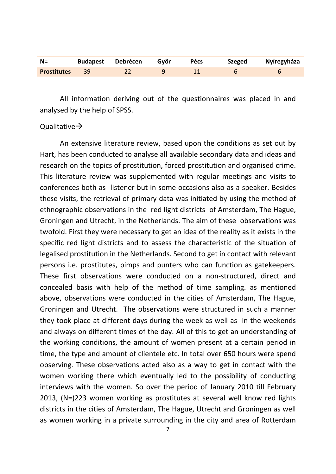| $N=$               |    | <b>Budapest Debrécen</b> | Gvör | <b>Pécs</b> | <b>Szeged</b> | Nyíregyháza |
|--------------------|----|--------------------------|------|-------------|---------------|-------------|
| <b>Prostitutes</b> | 39 |                          |      |             |               |             |

All information deriving out of the questionnaires was placed in and analysed by the help of SPSS.

#### Qualitative $\rightarrow$

An extensive literature review, based upon the conditions as set out by Hart, has been conducted to analyse all available secondary data and ideas and research on the topics of prostitution, forced prostitution and organised crime. This literature review was supplemented with regular meetings and visits to conferences both as listener but in some occasions also as a speaker. Besides these visits, the retrieval of primary data was initiated by using the method of ethnographic observations in the red light districts of Amsterdam, The Hague, Groningen and Utrecht, in the Netherlands. The aim of these observations was twofold. First they were necessary to get an idea of the reality as it exists in the specific red light districts and to assess the characteristic of the situation of legalised prostitution in the Netherlands. Second to get in contact with relevant persons i.e. prostitutes, pimps and punters who can function as gatekeepers. These first observations were conducted on a non-structured, direct and concealed basis with help of the method of time sampling. as mentioned above, observations were conducted in the cities of Amsterdam, The Hague, Groningen and Utrecht. The observations were structured in such a manner they took place at different days during the week as well as in the weekends and always on different times of the day. All of this to get an understanding of the working conditions, the amount of women present at a certain period in time, the type and amount of clientele etc. In total over 650 hours were spend observing. These observations acted also as a way to get in contact with the women working there which eventually led to the possibility of conducting interviews with the women. So over the period of January 2010 till February 2013, (N=)223 women working as prostitutes at several well know red lights districts in the cities of Amsterdam, The Hague, Utrecht and Groningen as well as women working in a private surrounding in the city and area of Rotterdam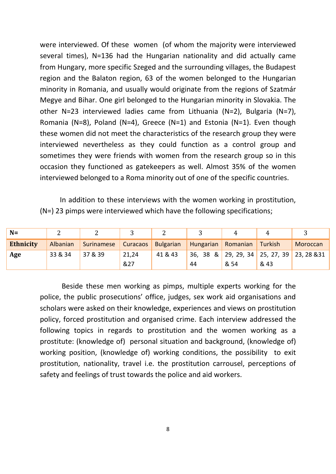were interviewed. Of these women (of whom the majority were interviewed several times), N=136 had the Hungarian nationality and did actually came from Hungary, more specific Szeged and the surrounding villages, the Budapest region and the Balaton region, 63 of the women belonged to the Hungarian minority in Romania, and usually would originate from the regions of Szatmár Megye and Bihar. One girl belonged to the Hungarian minority in Slovakia. The other N=23 interviewed ladies came from Lithuania (N=2), Bulgaria (N=7), Romania (N=8), Poland (N=4), Greece (N=1) and Estonia (N=1). Even though these women did not meet the characteristics of the research group they were interviewed nevertheless as they could function as a control group and sometimes they were friends with women from the research group so in this occasion they functioned as gatekeepers as well. Almost 35% of the women interviewed belonged to a Roma minority out of one of the specific countries.

In addition to these interviews with the women working in prostitution, (N=) 23 pimps were interviewed which have the following specifications;

| $N=$             |          |            |                 | ▵         |           |          |         |                                            |
|------------------|----------|------------|-----------------|-----------|-----------|----------|---------|--------------------------------------------|
| <b>Ethnicity</b> | Albanian | Surinamese | <b>Curacaos</b> | Bulgarian | Hungarian | Romanian | Turkish | Moroccan                                   |
| Age              | 33 & 34  | 37 & 39    | 21,24           | 41 & 43   |           |          |         | 36, 38 & 29, 29, 34 25, 27, 39 23, 28 & 31 |
|                  |          |            | &27             |           | 44        | & 54     | & 43    |                                            |

Beside these men working as pimps, multiple experts working for the police, the public prosecutions' office, judges, sex work aid organisations and scholars were asked on their knowledge, experiences and views on prostitution policy, forced prostitution and organised crime. Each interview addressed the following topics in regards to prostitution and the women working as a prostitute: (knowledge of) personal situation and background, (knowledge of) working position, (knowledge of) working conditions, the possibility to exit prostitution, nationality, travel i.e. the prostitution carrousel, perceptions of safety and feelings of trust towards the police and aid workers.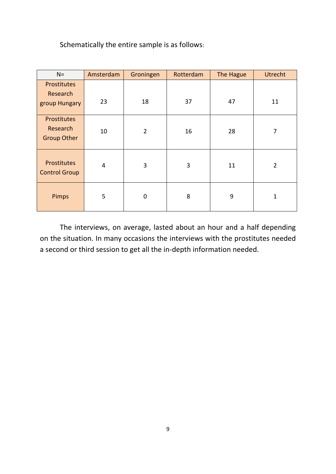Schematically the entire sample is as follows:

| $N =$                                         | Amsterdam | Groningen      | Rotterdam | The Hague | <b>Utrecht</b> |
|-----------------------------------------------|-----------|----------------|-----------|-----------|----------------|
| Prostitutes<br>Research<br>group Hungary      | 23        | 18             | 37        | 47        | 11             |
| Prostitutes<br>Research<br><b>Group Other</b> | 10        | $\overline{2}$ | 16        | 28        | 7              |
| Prostitutes<br><b>Control Group</b>           | 4         | 3              | 3         | 11        | $\overline{2}$ |
| Pimps                                         | 5         | 0              | 8         | 9         | $\mathbf{1}$   |

The interviews, on average, lasted about an hour and a half depending on the situation. In many occasions the interviews with the prostitutes needed a second or third session to get all the in-depth information needed.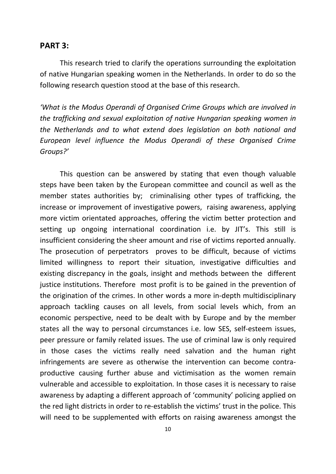#### **PART 3:**

This research tried to clarify the operations surrounding the exploitation of native Hungarian speaking women in the Netherlands. In order to do so the following research question stood at the base of this research.

*'What is the Modus Operandi of Organised Crime Groups which are involved in the trafficking and sexual exploitation of native Hungarian speaking women in the Netherlands and to what extend does legislation on both national and European level influence the Modus Operandi of these Organised Crime Groups?'*

This question can be answered by stating that even though valuable steps have been taken by the European committee and council as well as the member states authorities by; criminalising other types of trafficking, the increase or improvement of investigative powers, raising awareness, applying more victim orientated approaches, offering the victim better protection and setting up ongoing international coordination i.e. by JIT's. This still is insufficient considering the sheer amount and rise of victims reported annually. The prosecution of perpetrators proves to be difficult, because of victims limited willingness to report their situation, investigative difficulties and existing discrepancy in the goals, insight and methods between the different justice institutions. Therefore most profit is to be gained in the prevention of the origination of the crimes. In other words a more in-depth multidisciplinary approach tackling causes on all levels, from social levels which, from an economic perspective, need to be dealt with by Europe and by the member states all the way to personal circumstances i.e. low SES, self-esteem issues, peer pressure or family related issues. The use of criminal law is only required in those cases the victims really need salvation and the human right infringements are severe as otherwise the intervention can become contraproductive causing further abuse and victimisation as the women remain vulnerable and accessible to exploitation. In those cases it is necessary to raise awareness by adapting a different approach of 'community' policing applied on the red light districts in order to re-establish the victims' trust in the police. This will need to be supplemented with efforts on raising awareness amongst the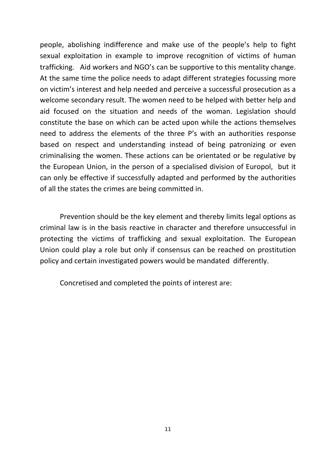people, abolishing indifference and make use of the people's help to fight sexual exploitation in example to improve recognition of victims of human trafficking. Aid workers and NGO's can be supportive to this mentality change. At the same time the police needs to adapt different strategies focussing more on victim's interest and help needed and perceive a successful prosecution as a welcome secondary result. The women need to be helped with better help and aid focused on the situation and needs of the woman. Legislation should constitute the base on which can be acted upon while the actions themselves need to address the elements of the three P's with an authorities response based on respect and understanding instead of being patronizing or even criminalising the women. These actions can be orientated or be regulative by the European Union, in the person of a specialised division of Europol, but it can only be effective if successfully adapted and performed by the authorities of all the states the crimes are being committed in.

Prevention should be the key element and thereby limits legal options as criminal law is in the basis reactive in character and therefore unsuccessful in protecting the victims of trafficking and sexual exploitation. The European Union could play a role but only if consensus can be reached on prostitution policy and certain investigated powers would be mandated differently.

Concretised and completed the points of interest are: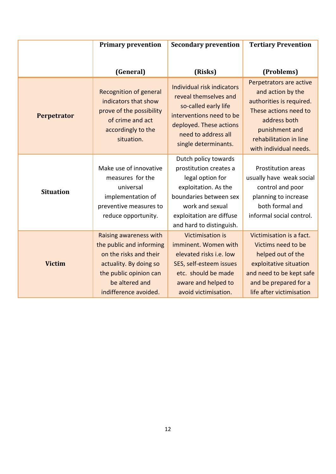|                    | <b>Primary prevention</b>                                                                                                                                                   | <b>Secondary prevention</b>                                                                                                                                                                     | <b>Tertiary Prevention</b>                                                                                                                                                              |  |
|--------------------|-----------------------------------------------------------------------------------------------------------------------------------------------------------------------------|-------------------------------------------------------------------------------------------------------------------------------------------------------------------------------------------------|-----------------------------------------------------------------------------------------------------------------------------------------------------------------------------------------|--|
|                    | (General)                                                                                                                                                                   | (Risks)                                                                                                                                                                                         | (Problems)                                                                                                                                                                              |  |
| <b>Perpetrator</b> | <b>Recognition of general</b><br>indicators that show<br>prove of the possibility<br>of crime and act<br>accordingly to the<br>situation.                                   | Individual risk indicators<br>reveal themselves and<br>so-called early life<br>interventions need to be<br>deployed. These actions<br>need to address all<br>single determinants.               | Perpetrators are active<br>and action by the<br>authorities is required.<br>These actions need to<br>address both<br>punishment and<br>rehabilitation in line<br>with individual needs. |  |
| <b>Situation</b>   | Make use of innovative<br>measures for the<br>universal<br>implementation of<br>preventive measures to<br>reduce opportunity.                                               | Dutch policy towards<br>prostitution creates a<br>legal option for<br>exploitation. As the<br>boundaries between sex<br>work and sexual<br>exploitation are diffuse<br>and hard to distinguish. | <b>Prostitution areas</b><br>usually have weak social<br>control and poor<br>planning to increase<br>both formal and<br>informal social control.                                        |  |
| <b>Victim</b>      | Raising awareness with<br>the public and informing<br>on the risks and their<br>actuality. By doing so<br>the public opinion can<br>be altered and<br>indifference avoided. | <b>Victimisation is</b><br>imminent. Women with<br>elevated risks i.e. low<br>SES, self-esteem issues<br>etc. should be made<br>aware and helped to<br>avoid victimisation.                     | Victimisation is a fact.<br>Victims need to be<br>helped out of the<br>exploitative situation<br>and need to be kept safe<br>and be prepared for a<br>life after victimisation          |  |